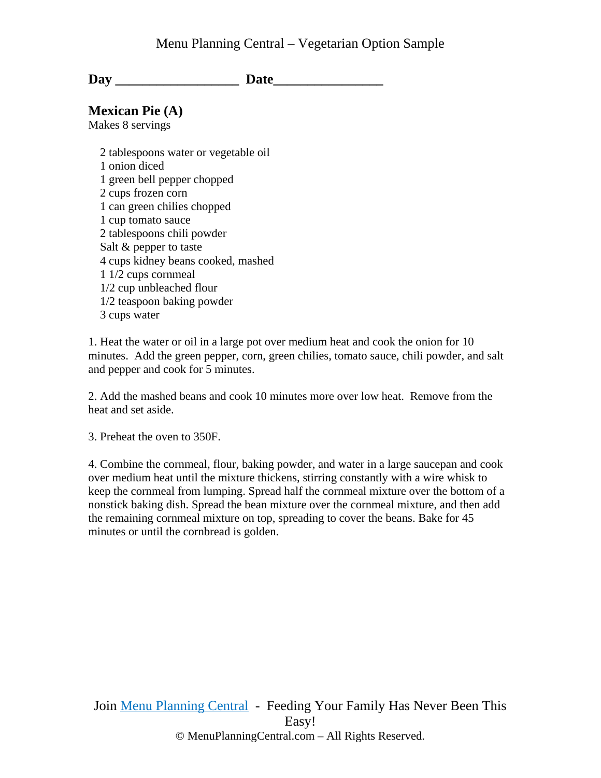Day Date

### **Mexican Pie (A)**

Makes 8 servings

 2 tablespoons water or vegetable oil 1 onion diced 1 green bell pepper chopped 2 cups frozen corn 1 can green chilies chopped 1 cup tomato sauce 2 tablespoons chili powder Salt & pepper to taste 4 cups kidney beans cooked, mashed 1 1/2 cups cornmeal 1/2 cup unbleached flour 1/2 teaspoon baking powder 3 cups water

1. Heat the water or oil in a large pot over medium heat and cook the onion for 10 minutes. Add the green pepper, corn, green chilies, tomato sauce, chili powder, and salt and pepper and cook for 5 minutes.

2. Add the mashed beans and cook 10 minutes more over low heat. Remove from the heat and set aside.

3. Preheat the oven to 350F.

4. Combine the cornmeal, flour, baking powder, and water in a large saucepan and cook over medium heat until the mixture thickens, stirring constantly with a wire whisk to keep the cornmeal from lumping. Spread half the cornmeal mixture over the bottom of a nonstick baking dish. Spread the bean mixture over the cornmeal mixture, and then add the remaining cornmeal mixture on top, spreading to cover the beans. Bake for 45 minutes or until the cornbread is golden.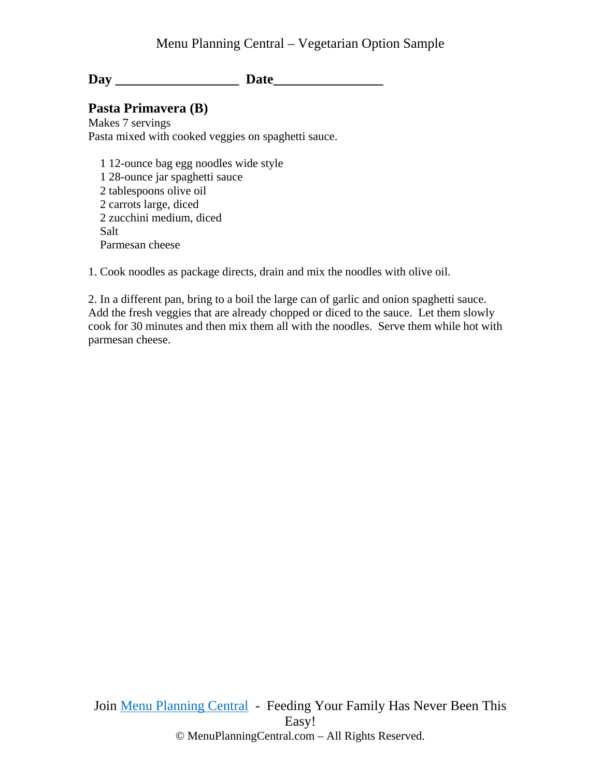Day Date

# **Pasta Primavera (B)**

Makes 7 servings Pasta mixed with cooked veggies on spaghetti sauce.

 1 12-ounce bag egg noodles wide style 1 28-ounce jar spaghetti sauce 2 tablespoons olive oil 2 carrots large, diced 2 zucchini medium, diced Salt Parmesan cheese

1. Cook noodles as package directs, drain and mix the noodles with olive oil.

2. In a different pan, bring to a boil the large can of garlic and onion spaghetti sauce. Add the fresh veggies that are already chopped or diced to the sauce. Let them slowly cook for 30 minutes and then mix them all with the noodles. Serve them while hot with parmesan cheese.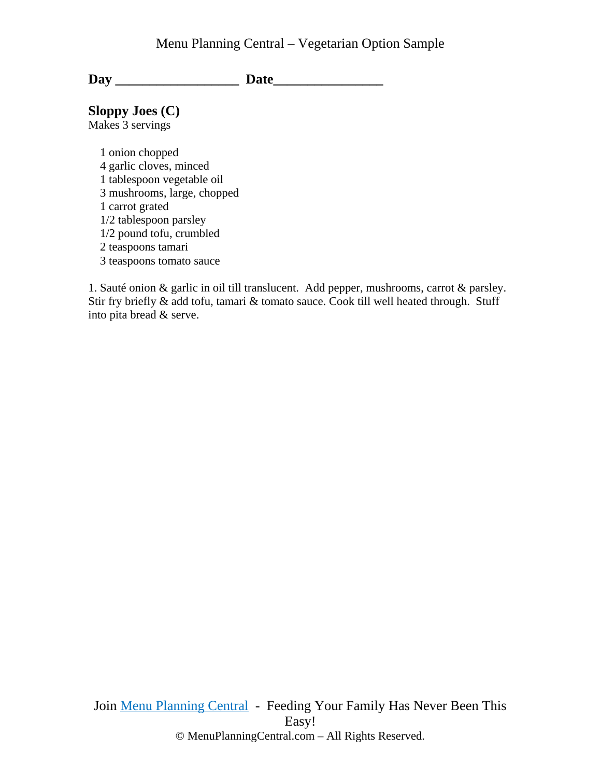### Menu Planning Central – Vegetarian Option Sample

Day Date

# **Sloppy Joes (C)**

Makes 3 servings

 1 onion chopped 4 garlic cloves, minced 1 tablespoon vegetable oil 3 mushrooms, large, chopped 1 carrot grated 1/2 tablespoon parsley 1/2 pound tofu, crumbled 2 teaspoons tamari 3 teaspoons tomato sauce

1. Sauté onion & garlic in oil till translucent. Add pepper, mushrooms, carrot & parsley. Stir fry briefly & add tofu, tamari & tomato sauce. Cook till well heated through. Stuff into pita bread & serve.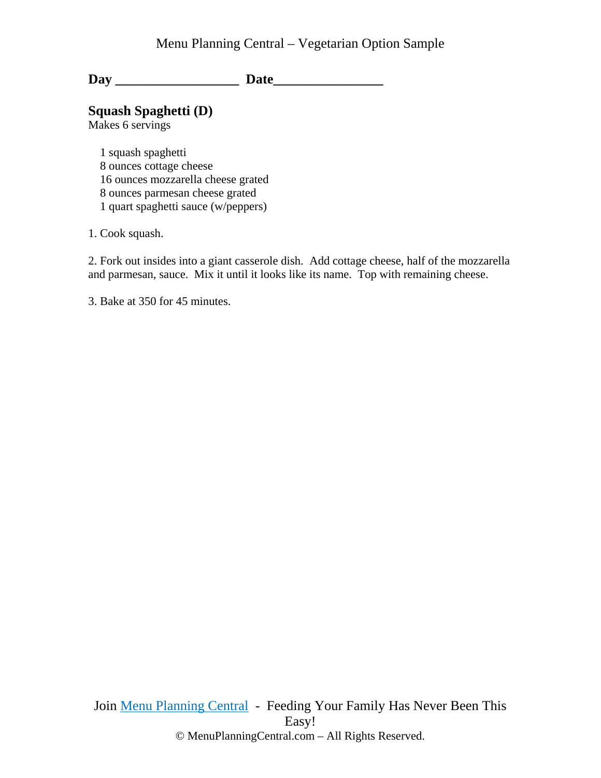**Day \_\_\_\_\_\_\_\_\_\_\_\_\_\_\_\_\_\_ Date\_\_\_\_\_\_\_\_\_\_\_\_\_\_\_\_** 

**Squash Spaghetti (D)** 

Makes 6 servings

 1 squash spaghetti 8 ounces cottage cheese 16 ounces mozzarella cheese grated 8 ounces parmesan cheese grated 1 quart spaghetti sauce (w/peppers)

1. Cook squash.

2. Fork out insides into a giant casserole dish. Add cottage cheese, half of the mozzarella and parmesan, sauce. Mix it until it looks like its name. Top with remaining cheese.

3. Bake at 350 for 45 minutes.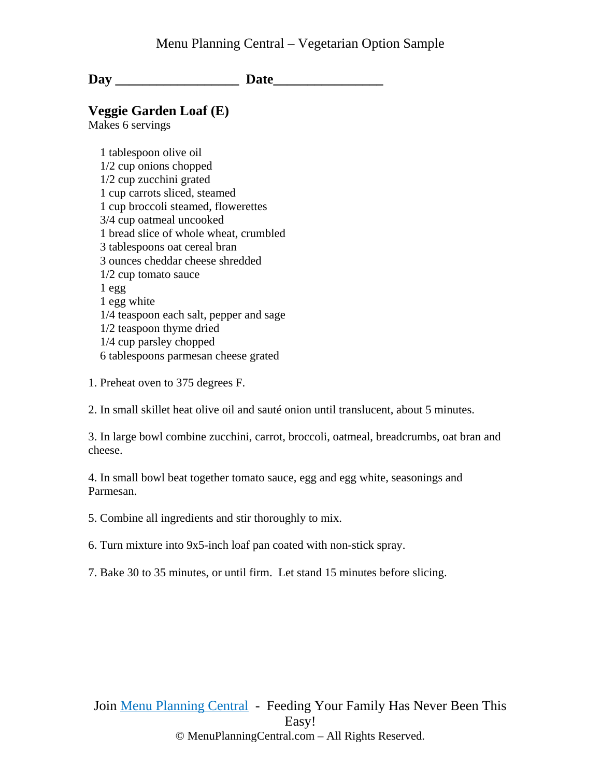Day **Date** 

### **Veggie Garden Loaf (E)**

Makes 6 servings

 1 tablespoon olive oil 1/2 cup onions chopped 1/2 cup zucchini grated 1 cup carrots sliced, steamed 1 cup broccoli steamed, flowerettes 3/4 cup oatmeal uncooked 1 bread slice of whole wheat, crumbled 3 tablespoons oat cereal bran 3 ounces cheddar cheese shredded 1/2 cup tomato sauce 1 egg 1 egg white 1/4 teaspoon each salt, pepper and sage 1/2 teaspoon thyme dried 1/4 cup parsley chopped 6 tablespoons parmesan cheese grated

1. Preheat oven to 375 degrees F.

2. In small skillet heat olive oil and sauté onion until translucent, about 5 minutes.

3. In large bowl combine zucchini, carrot, broccoli, oatmeal, breadcrumbs, oat bran and cheese.

4. In small bowl beat together tomato sauce, egg and egg white, seasonings and Parmesan.

5. Combine all ingredients and stir thoroughly to mix.

6. Turn mixture into 9x5-inch loaf pan coated with non-stick spray.

7. Bake 30 to 35 minutes, or until firm. Let stand 15 minutes before slicing.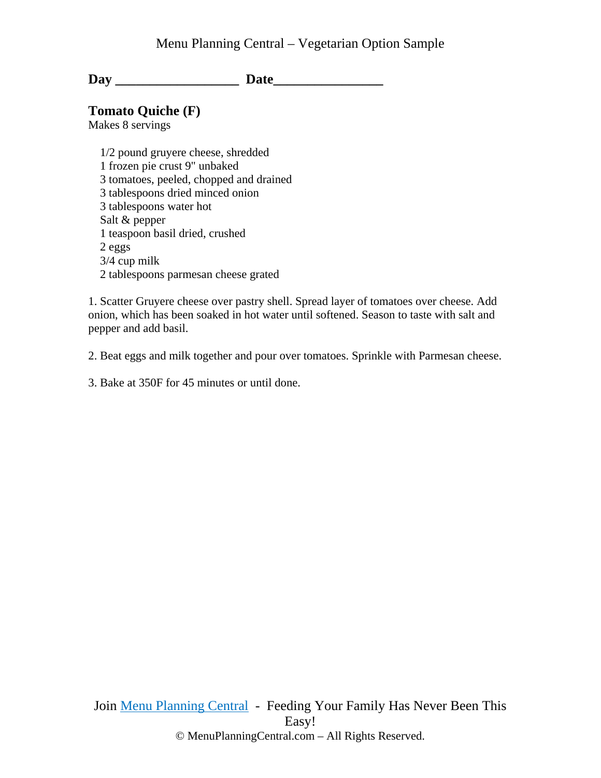### Menu Planning Central – Vegetarian Option Sample

Day Date

**Tomato Quiche (F)** 

Makes 8 servings

 1/2 pound gruyere cheese, shredded 1 frozen pie crust 9" unbaked 3 tomatoes, peeled, chopped and drained 3 tablespoons dried minced onion 3 tablespoons water hot Salt & pepper 1 teaspoon basil dried, crushed 2 eggs 3/4 cup milk 2 tablespoons parmesan cheese grated

1. Scatter Gruyere cheese over pastry shell. Spread layer of tomatoes over cheese. Add onion, which has been soaked in hot water until softened. Season to taste with salt and pepper and add basil.

2. Beat eggs and milk together and pour over tomatoes. Sprinkle with Parmesan cheese.

3. Bake at 350F for 45 minutes or until done.